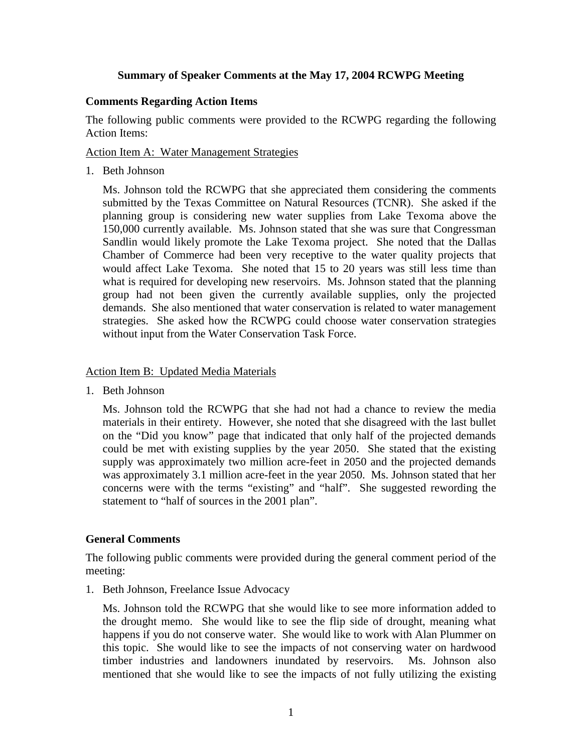# **Summary of Speaker Comments at the May 17, 2004 RCWPG Meeting**

#### **Comments Regarding Action Items**

The following public comments were provided to the RCWPG regarding the following Action Items:

## Action Item A: Water Management Strategies

1. Beth Johnson

Ms. Johnson told the RCWPG that she appreciated them considering the comments submitted by the Texas Committee on Natural Resources (TCNR). She asked if the planning group is considering new water supplies from Lake Texoma above the 150,000 currently available. Ms. Johnson stated that she was sure that Congressman Sandlin would likely promote the Lake Texoma project. She noted that the Dallas Chamber of Commerce had been very receptive to the water quality projects that would affect Lake Texoma. She noted that 15 to 20 years was still less time than what is required for developing new reservoirs. Ms. Johnson stated that the planning group had not been given the currently available supplies, only the projected demands. She also mentioned that water conservation is related to water management strategies. She asked how the RCWPG could choose water conservation strategies without input from the Water Conservation Task Force.

#### Action Item B: Updated Media Materials

1. Beth Johnson

Ms. Johnson told the RCWPG that she had not had a chance to review the media materials in their entirety. However, she noted that she disagreed with the last bullet on the "Did you know" page that indicated that only half of the projected demands could be met with existing supplies by the year 2050. She stated that the existing supply was approximately two million acre-feet in 2050 and the projected demands was approximately 3.1 million acre-feet in the year 2050. Ms. Johnson stated that her concerns were with the terms "existing" and "half". She suggested rewording the statement to "half of sources in the 2001 plan".

## **General Comments**

The following public comments were provided during the general comment period of the meeting:

1. Beth Johnson, Freelance Issue Advocacy

Ms. Johnson told the RCWPG that she would like to see more information added to the drought memo. She would like to see the flip side of drought, meaning what happens if you do not conserve water. She would like to work with Alan Plummer on this topic. She would like to see the impacts of not conserving water on hardwood timber industries and landowners inundated by reservoirs. Ms. Johnson also mentioned that she would like to see the impacts of not fully utilizing the existing